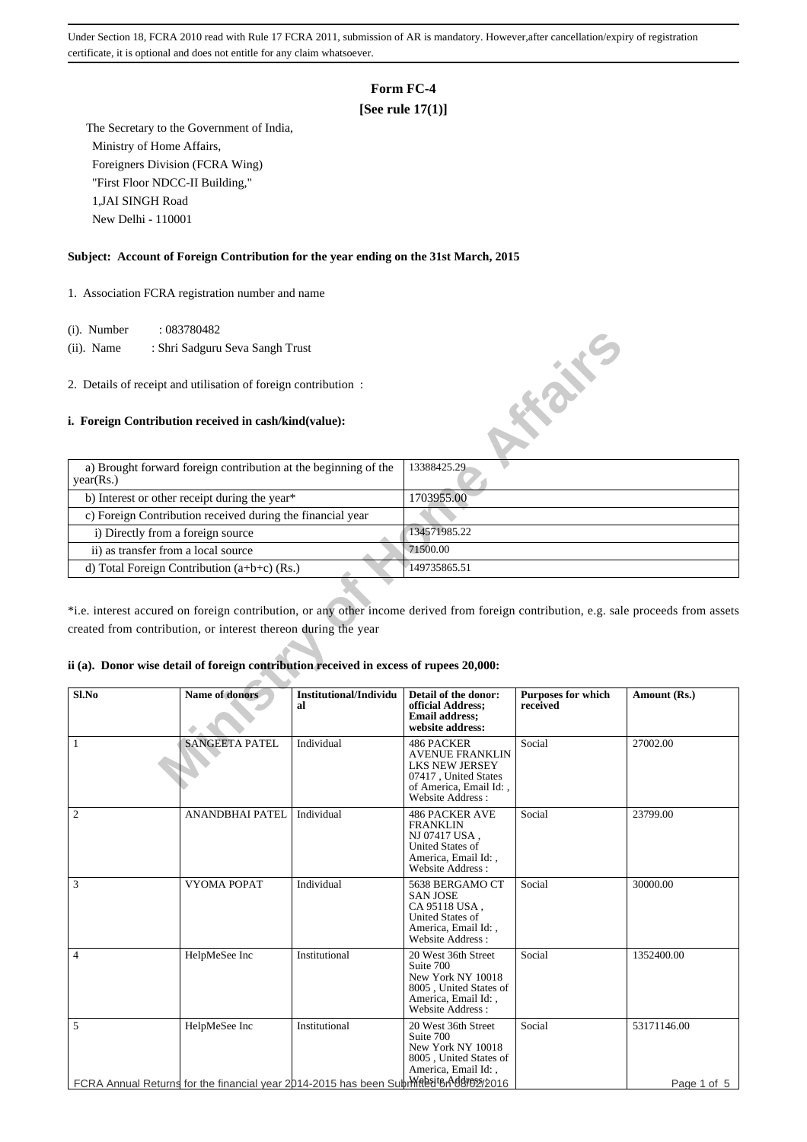# **Form FC-4**

# **[See rule 17(1)]**

 The Secretary to the Government of India, Ministry of Home Affairs, Foreigners Division (FCRA Wing) "First Floor NDCC-II Building," 1,JAI SINGH Road New Delhi - 110001

## **Subject: Account of Foreign Contribution for the year ending on the 31st March, 2015**

1. Association FCRA registration number and name

- (i). Number : 083780482
- (ii). Name : Shri Sadguru Seva Sangh Trust
- 2. Details of receipt and utilisation of foreign contribution :

## **i. Foreign Contribution received in cash/kind(value):**

| $(1)$ . Trumber                                            | .003100402                                                                                                                                                                                              |                              |                                                                                                         |                                       |              |  |
|------------------------------------------------------------|---------------------------------------------------------------------------------------------------------------------------------------------------------------------------------------------------------|------------------------------|---------------------------------------------------------------------------------------------------------|---------------------------------------|--------------|--|
| $(ii)$ . Name                                              | : Shri Sadguru Seva Sangh Trust                                                                                                                                                                         |                              |                                                                                                         |                                       |              |  |
|                                                            | 2. Details of receipt and utilisation of foreign contribution:<br>i. Foreign Contribution received in cash/kind(value):                                                                                 |                              |                                                                                                         | <b>HONE</b>                           |              |  |
|                                                            |                                                                                                                                                                                                         |                              |                                                                                                         |                                       |              |  |
| year(Rs.)                                                  | a) Brought forward foreign contribution at the beginning of the                                                                                                                                         |                              | 13388425.29                                                                                             |                                       |              |  |
| b) Interest or other receipt during the year*              |                                                                                                                                                                                                         |                              | 1703955.00                                                                                              |                                       |              |  |
| c) Foreign Contribution received during the financial year |                                                                                                                                                                                                         |                              |                                                                                                         |                                       |              |  |
| i) Directly from a foreign source                          |                                                                                                                                                                                                         |                              | 134571985.22                                                                                            |                                       |              |  |
| ii) as transfer from a local source                        |                                                                                                                                                                                                         |                              | 71500.00                                                                                                |                                       |              |  |
|                                                            | d) Total Foreign Contribution $(a+b+c)$ (Rs.)                                                                                                                                                           |                              | 149735865.51                                                                                            |                                       |              |  |
|                                                            | *i.e. interest accured on foreign contribution, or any other income derived from foreign contribution, e.g. sale proceeds from assets<br>created from contribution, or interest thereon during the year |                              |                                                                                                         |                                       |              |  |
|                                                            | ii (a). Donor wise detail of foreign contribution received in excess of rupees 20,000:                                                                                                                  |                              |                                                                                                         |                                       |              |  |
| Sl.No                                                      | <b>Name of donors</b>                                                                                                                                                                                   | Institutional/Individu<br>al | Detail of the donor:<br>official Address;<br><b>Email address:</b><br>website address:                  | <b>Purposes for which</b><br>received | Amount (Rs.) |  |
| 1                                                          | <b>SANGEETA PATEL</b>                                                                                                                                                                                   | Individual                   | 486 PACKER<br>AVENUE FRANKLIN<br><b>LKS NEW JERSEY</b><br>07417, United States<br>of America. Email Id: | Social                                | 27002.00     |  |

#### **ii (a). Donor wise detail of foreign contribution received in excess of rupees 20,000:**

| Sl.No          | <b>Name of donors</b>  | Institutional/Individu<br>al                                                                           | Detail of the donor:<br>official Address;<br><b>Email address:</b><br>website address:                                                     | <b>Purposes for which</b><br>received | Amount (Rs.)               |
|----------------|------------------------|--------------------------------------------------------------------------------------------------------|--------------------------------------------------------------------------------------------------------------------------------------------|---------------------------------------|----------------------------|
| $\mathbf{1}$   | <b>SANGEETA PATEL</b>  | Individual                                                                                             | <b>486 PACKER</b><br><b>AVENUE FRANKLIN</b><br><b>LKS NEW JERSEY</b><br>07417, United States<br>of America, Email Id:,<br>Website Address: | Social                                | 27002.00                   |
| $\mathfrak{2}$ | <b>ANANDBHAI PATEL</b> | Individual                                                                                             | <b>486 PACKER AVE</b><br><b>FRANKLIN</b><br>NJ 07417 USA,<br><b>United States of</b><br>America, Email Id:,<br>Website Address:            | Social                                | 23799.00                   |
| 3              | VYOMA POPAT            | Individual                                                                                             | 5638 BERGAMO CT<br><b>SAN JOSE</b><br>CA 95118 USA,<br><b>United States of</b><br>America, Email Id:,<br>Website Address:                  | Social                                | 30000.00                   |
| $\overline{4}$ | HelpMeSee Inc          | Institutional                                                                                          | 20 West 36th Street<br>Suite 700<br>New York NY 10018<br>8005, United States of<br>America, Email Id:,<br>Website Address:                 | Social                                | 1352400.00                 |
| 5              | HelpMeSee Inc          | Institutional<br>FCRA Annual Returns for the financial year 2014-2015 has been Subringed ton 0002/2016 | 20 West 36th Street<br>Suite 700<br>New York NY 10018<br>8005, United States of<br>America, Email Id:,                                     | Social                                | 53171146.00<br>Page 1 of 5 |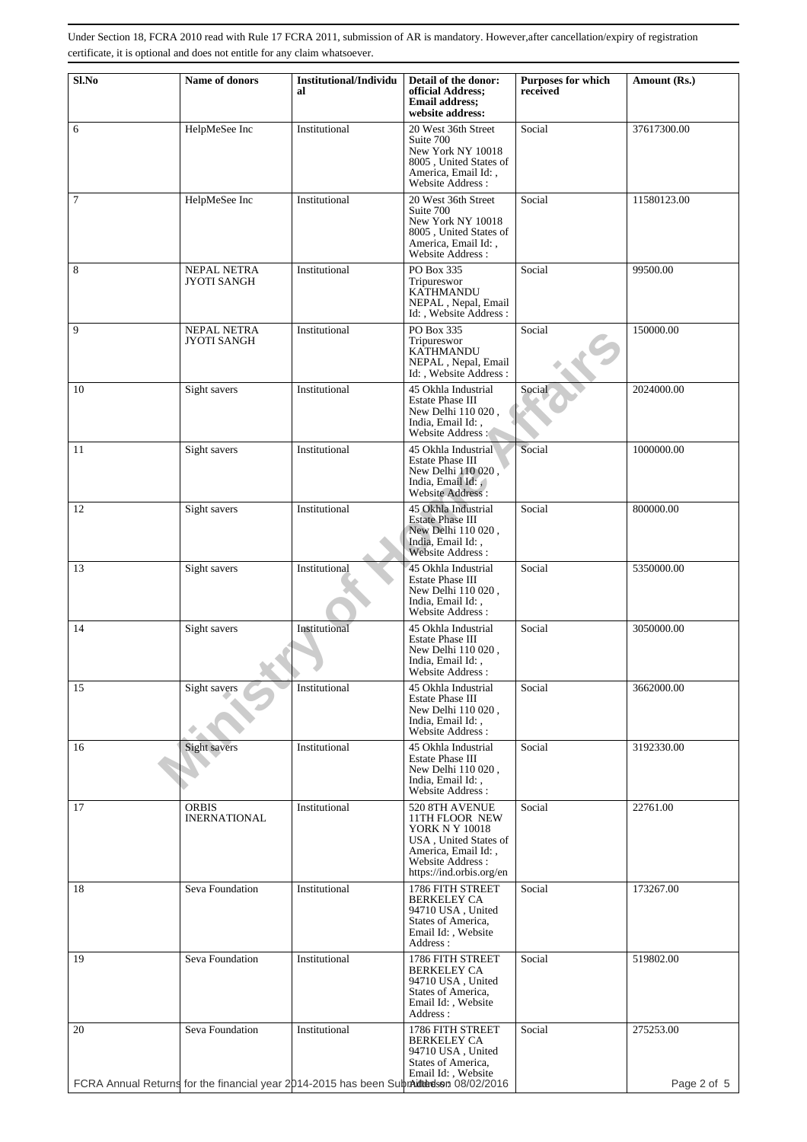| Sl.No          | Name of donors                      | <b>Institutional/Individu</b>                                                         | Detail of the donor:                                                                                                                               | Purposes for which | Amount (Rs.) |
|----------------|-------------------------------------|---------------------------------------------------------------------------------------|----------------------------------------------------------------------------------------------------------------------------------------------------|--------------------|--------------|
|                |                                     | al                                                                                    | official Address;<br><b>Email address:</b><br>website address:                                                                                     | received           |              |
| 6              | HelpMeSee Inc                       | Institutional                                                                         | 20 West 36th Street<br>Suite 700<br>New York NY 10018<br>8005, United States of<br>America, Email Id:,<br><b>Website Address:</b>                  | Social             | 37617300.00  |
| $\overline{7}$ | HelpMeSee Inc                       | Institutional                                                                         | 20 West 36th Street<br>Suite 700<br>New York NY 10018<br>8005, United States of<br>America, Email Id:,<br>Website Address:                         | Social             | 11580123.00  |
| 8              | NEPAL NETRA<br><b>JYOTI SANGH</b>   | Institutional                                                                         | PO Box 335<br>Tripureswor<br><b>KATHMANDU</b><br>NEPAL, Nepal, Email<br>Id:, Website Address:                                                      | Social             | 99500.00     |
| 9              | NEPAL NETRA<br><b>JYOTI SANGH</b>   | Institutional                                                                         | PO Box 335<br>Tripureswor<br><b>KATHMANDU</b><br>NEPAL, Nepal, Email<br>Id:, Website Address:                                                      | Social             | 150000.00    |
| 10             | Sight savers                        | Institutional                                                                         | 45 Okhla Industrial<br>Estate Phase III<br>New Delhi 110 020,<br>India, Email Id:,<br>Website Address:                                             | Social             | 2024000.00   |
| 11             | Sight savers                        | Institutional                                                                         | 45 Okhla Industrial<br>Estate Phase III<br>New Delhi 110 020,<br>India, Email Id:<br>Website Address:                                              | Social             | 1000000.00   |
| 12             | Sight savers                        | Institutional                                                                         | 45 Okhla Industrial<br><b>Estate Phase III</b><br>New Delhi 110 020,<br>India, Email Id:,<br>Website Address:                                      | Social             | 800000.00    |
| 13             | Sight savers                        | Institutional                                                                         | 45 Okhla Industrial<br>Estate Phase III<br>New Delhi 110 020,<br>India, Email Id:,<br>Website Address:                                             | Social             | 5350000.00   |
| 14             | Sight savers                        | Institutional                                                                         | 45 Okhla Industrial<br><b>Estate Phase III</b><br>New Delhi 110 020,<br>India, Email Id:,<br>Website Address:                                      | Social             | 3050000.00   |
| 15             | Sight savers                        | Institutional                                                                         | 45 Okhla Industrial<br>Estate Phase III<br>New Delhi 110 020,<br>India, Email Id:,<br>Website Address:                                             | Social             | 3662000.00   |
| 16             | Sight savers                        | Institutional                                                                         | 45 Okhla Industrial<br>Estate Phase III<br>New Delhi 110 020,<br>India, Email Id:,<br>Website Address:                                             | Social             | 3192330.00   |
| 17             | <b>ORBIS</b><br><b>INERNATIONAL</b> | Institutional                                                                         | 520 8TH AVENUE<br>11TH FLOOR NEW<br>YORK N Y 10018<br>USA, United States of<br>America, Email Id:,<br>Website Address:<br>https://ind.orbis.org/en | Social             | 22761.00     |
| 18             | Seva Foundation                     | Institutional                                                                         | 1786 FITH STREET<br><b>BERKELEY CA</b><br>94710 USA, United<br>States of America,<br>Email Id:, Website<br>Address:                                | Social             | 173267.00    |
| 19             | Seva Foundation                     | Institutional                                                                         | 1786 FITH STREET<br><b>BERKELEY CA</b><br>94710 USA, United<br>States of America,<br>Email Id:, Website<br>Address:                                | Social             | 519802.00    |
| 20             | Seva Foundation                     | Institutional                                                                         | 1786 FITH STREET<br><b>BERKELEY CA</b><br>94710 USA, United<br>States of America,<br>Email Id:, Website                                            | Social             | 275253.00    |
|                |                                     | FCRA Annual Returns for the financial year 2014-2015 has been Submittedson 08/02/2016 |                                                                                                                                                    |                    | Page 2 of 5  |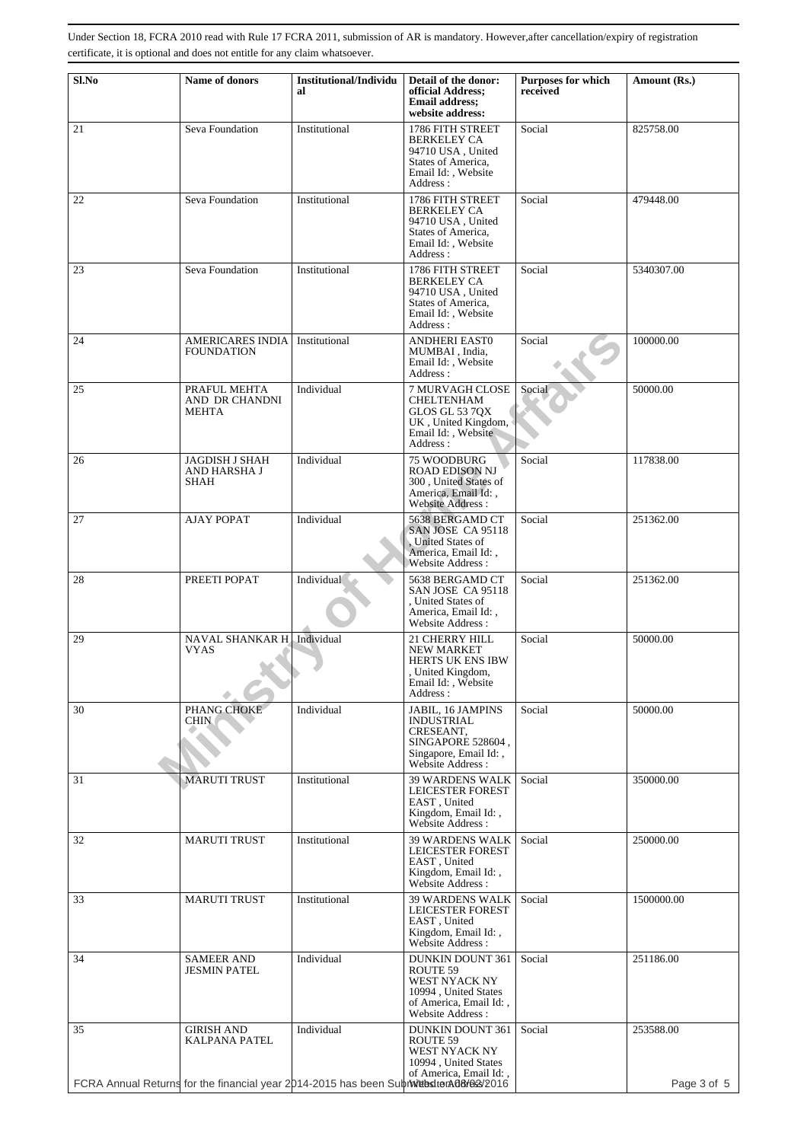| Sl.No | Name of donors                                                                                                               | <b>Institutional/Individu</b><br>al | Detail of the donor:<br>official Address:                                                                                         | Purposes for which<br>received | Amount (Rs.)             |
|-------|------------------------------------------------------------------------------------------------------------------------------|-------------------------------------|-----------------------------------------------------------------------------------------------------------------------------------|--------------------------------|--------------------------|
|       |                                                                                                                              |                                     | <b>Email address:</b><br>website address:                                                                                         |                                |                          |
| 21    | Seva Foundation                                                                                                              | Institutional                       | 1786 FITH STREET<br><b>BERKELEY CA</b><br>94710 USA, United<br>States of America,<br>Email Id: , Website<br>Address:              | Social                         | 825758.00                |
| 22    | Seva Foundation                                                                                                              | Institutional                       | 1786 FITH STREET<br><b>BERKELEY CA</b><br>94710 USA, United<br>States of America,<br>Email Id:, Website<br>Address:               | Social                         | 479448.00                |
| 23    | Seva Foundation                                                                                                              | Institutional                       | 1786 FITH STREET<br><b>BERKELEY CA</b><br>94710 USA, United<br>States of America,<br>Email Id:, Website<br>Address:               | Social                         | 5340307.00               |
| 24    | <b>AMERICARES INDIA</b><br><b>FOUNDATION</b>                                                                                 | Institutional                       | <b>ANDHERI EAST0</b><br>MUMBAI . India.<br>Email Id:, Website<br>Address:                                                         | Social                         | 100000.00                |
| 25    | PRAFUL MEHTA<br>AND DR CHANDNI<br><b>MEHTA</b>                                                                               | Individual                          | 7 MURVAGH CLOSE<br><b>CHELTENHAM</b><br>GLOS GL 53 7QX<br>UK, United Kingdom,<br>Email Id:, Website<br>Address:                   | Social                         | 50000.00                 |
| 26    | <b>JAGDISH J SHAH</b><br>AND HARSHA J<br>SHAH                                                                                | Individual                          | 75 WOODBURG<br><b>ROAD EDISON NJ</b><br>300, United States of<br>America, Email Id:,<br>Website Address:                          | Social                         | 117838.00                |
| 27    | <b>AJAY POPAT</b>                                                                                                            | Individual                          | 5638 BERGAMD CT<br>SAN JOSE CA 95118<br>United States of<br>America, Email Id:,<br>Website Address:                               | Social                         | 251362.00                |
| 28    | PREETI POPAT                                                                                                                 | Individual                          | 5638 BERGAMD CT<br>SAN JOSE CA 95118<br>, United States of<br>America, Email Id:,<br>Website Address:                             | Social                         | 251362.00                |
| 29    | NAVAL SHANKAR H Individual<br>VYAS                                                                                           |                                     | 21 CHERRY HILL<br><b>NEW MARKET</b><br><b>HERTS UK ENS IBW</b><br>, United Kingdom,<br>Email Id: , Website<br>Address :           | Social                         | 50000.00                 |
| 30    | PHANG CHOKE<br><b>CHIN</b>                                                                                                   | Individual                          | JABIL, 16 JAMPINS<br><b>INDUSTRIAL</b><br>CRESEANT,<br>SINGAPORE 528604,<br>Singapore, Email Id:,<br>Website Address:             | Social                         | 50000.00                 |
| 31    | <b>MARUTI TRUST</b>                                                                                                          | Institutional                       | <b>39 WARDENS WALK</b><br>LEICESTER FOREST<br>EAST, United<br>Kingdom, Email Id:,<br>Website Address :                            | Social                         | 350000.00                |
| 32    | <b>MARUTI TRUST</b>                                                                                                          | Institutional                       | <b>39 WARDENS WALK</b><br>LEICESTER FOREST<br>EAST, United<br>Kingdom, Email Id:,<br><b>Website Address:</b>                      | Social                         | 250000.00                |
| 33    | <b>MARUTI TRUST</b>                                                                                                          | Institutional                       | <b>39 WARDENS WALK</b><br><b>LEICESTER FOREST</b><br>EAST, United<br>Kingdom, Email Id:,<br>Website Address :                     | Social                         | 1500000.00               |
| 34    | <b>SAMEER AND</b><br><b>JESMIN PATEL</b>                                                                                     | Individual                          | <b>DUNKIN DOUNT 361</b><br>ROUTE 59<br>WEST NYACK NY<br>10994, United States<br>of America, Email Id:,<br><b>Website Address:</b> | Social                         | 251186.00                |
| 35    | <b>GIRISH AND</b><br>KALPANA PATEL<br>FCRA Annual Returns for the financial year 2014-2015 has been Subraited to A08/02/2016 | Individual                          | <b>DUNKIN DOUNT 361</b><br>ROUTE 59<br>WEST NYACK NY<br>10994, United States<br>of America, Email Id:,                            | Social                         | 253588.00<br>Page 3 of 5 |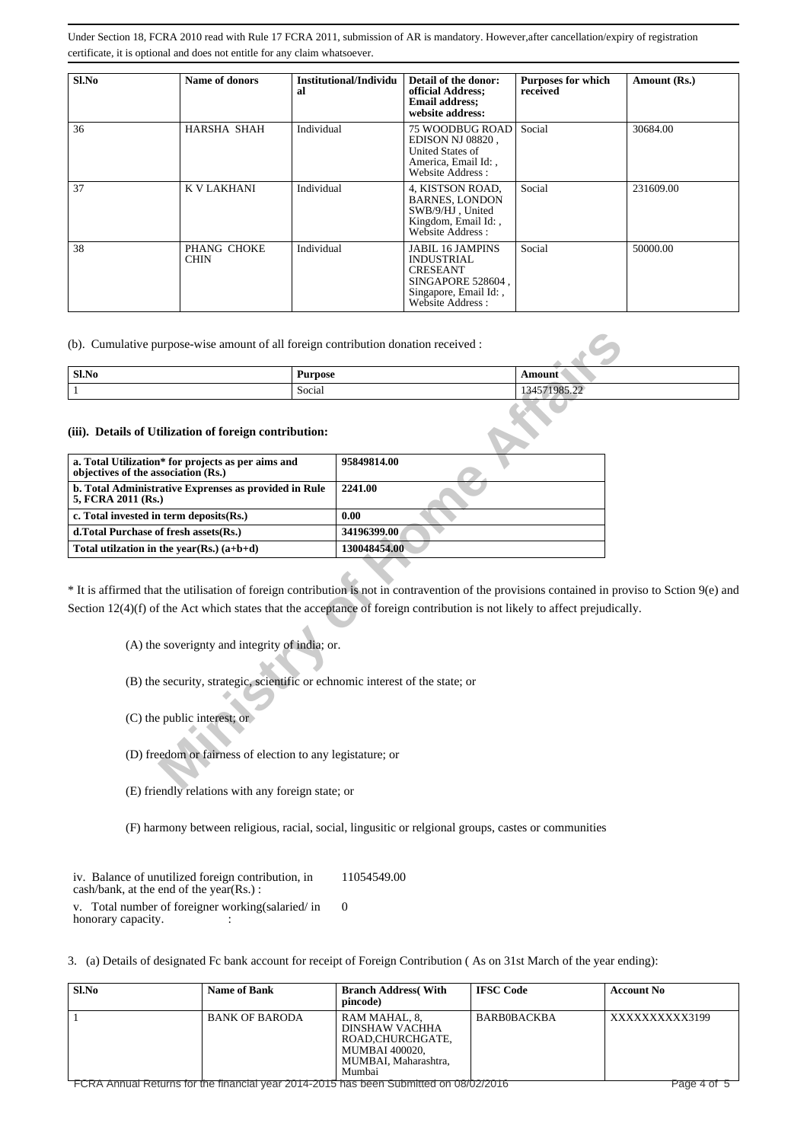| $Sl$ . No | Name of donors             | Institutional/Individu<br>al | Detail of the donor:<br>official Address;<br><b>Email address;</b><br>website address:                                            | <b>Purposes for which</b><br>received | Amount (Rs.) |
|-----------|----------------------------|------------------------------|-----------------------------------------------------------------------------------------------------------------------------------|---------------------------------------|--------------|
| 36        | HARSHA SHAH                | Individual                   | 75 WOODBUG ROAD<br>EDISON NJ 08820,<br>United States of<br>America, Email Id:,<br>Website Address:                                | Social                                | 30684.00     |
| 37        | K V LAKHANI                | Individual                   | 4, KISTSON ROAD,<br><b>BARNES, LONDON</b><br>SWB/9/HJ, United<br>Kingdom, Email Id:,<br>Website Address:                          | Social                                | 231609.00    |
| 38        | PHANG CHOKE<br><b>CHIN</b> | Individual                   | <b>JABIL 16 JAMPINS</b><br><b>INDUSTRIAL</b><br><b>CRESEANT</b><br>SINGAPORE 528604.<br>Singapore, Email Id:,<br>Website Address: | Social                                | 50000.00     |

| Sl.No | <b>Purpose</b> | \mount                                               |
|-------|----------------|------------------------------------------------------|
|       | Social<br>.    | 1108 <sup>o</sup><br>$\sim$<br>- 200-66<br>1 J T J 1 |

| Sl.No                                                                                     | <b>Purpose</b>                                             |                                                                               | Amount                                                                                                                                                                                                                                                  |
|-------------------------------------------------------------------------------------------|------------------------------------------------------------|-------------------------------------------------------------------------------|---------------------------------------------------------------------------------------------------------------------------------------------------------------------------------------------------------------------------------------------------------|
| $\mathbf{1}$                                                                              | Social                                                     |                                                                               | 134571985.22                                                                                                                                                                                                                                            |
| (iii). Details of Utilization of foreign contribution:                                    |                                                            |                                                                               |                                                                                                                                                                                                                                                         |
| a. Total Utilization* for projects as per aims and<br>objectives of the association (Rs.) |                                                            | 95849814.00                                                                   |                                                                                                                                                                                                                                                         |
| b. Total Administrative Exprenses as provided in Rule<br>5, FCRA 2011 (Rs.)               |                                                            | 2241.00                                                                       |                                                                                                                                                                                                                                                         |
| c. Total invested in term deposits(Rs.)                                                   |                                                            | 0.00                                                                          |                                                                                                                                                                                                                                                         |
| d.Total Purchase of fresh assets (Rs.)                                                    |                                                            | 34196399.00                                                                   |                                                                                                                                                                                                                                                         |
| Total utilization in the year(Rs.) $(a+b+d)$                                              |                                                            | 130048454.00                                                                  |                                                                                                                                                                                                                                                         |
|                                                                                           | (A) the soverignty and integrity of india; or.             |                                                                               | * It is affirmed that the utilisation of foreign contribution is not in contravention of the provisions contained in prov<br>Section $12(4)(f)$ of the Act which states that the acceptance of foreign contribution is not likely to affect prejudicall |
|                                                                                           |                                                            | (B) the security, strategic, scientific or echnomic interest of the state; or |                                                                                                                                                                                                                                                         |
|                                                                                           |                                                            |                                                                               |                                                                                                                                                                                                                                                         |
| $(C)$ the public interest; or                                                             |                                                            |                                                                               |                                                                                                                                                                                                                                                         |
|                                                                                           | (D) freedom or fairness of election to any legistature; or |                                                                               |                                                                                                                                                                                                                                                         |

\* It is affirmed that the utilisation of foreign contribution is not in contravention of the provisions contained in proviso to Sction 9(e) and Section 12(4)(f) of the Act which states that the acceptance of foreign contribution is not likely to affect prejudically.

- (C) the public interest; or
- (D) freedom or fairness of election to any legistature; or
- (E) friendly relations with any foreign state; or
- (F) harmony between religious, racial, social, lingusitic or relgional groups, castes or communities

iv. Balance of unutilized foreign contribution, in cash/bank, at the end of the year(Rs.) : 11054549.00

v. Total number of foreigner working(salaried/ in honorary capacity.  $\Omega$ 

3. (a) Details of designated Fc bank account for receipt of Foreign Contribution ( As on 31st March of the year ending):

| Sl.No | <b>Name of Bank</b>                                                                   | <b>Branch Address</b> (With<br>pincode)                                                                        | <b>IFSC Code</b> | <b>Account No</b> |
|-------|---------------------------------------------------------------------------------------|----------------------------------------------------------------------------------------------------------------|------------------|-------------------|
|       | <b>BANK OF BARODA</b>                                                                 | RAM MAHAL, 8,<br>DINSHAW VACHHA<br>ROAD.CHURCHGATE.<br><b>MUMBAI 400020.</b><br>MUMBAI, Maharashtra.<br>Mumbai | BARB0BACKBA      | XXXXXXXXXX3199    |
|       | FCRA Annual Returns for the financial year 2014-2015 has been Submitted on 08/02/2016 |                                                                                                                |                  | Page 4 of 5       |